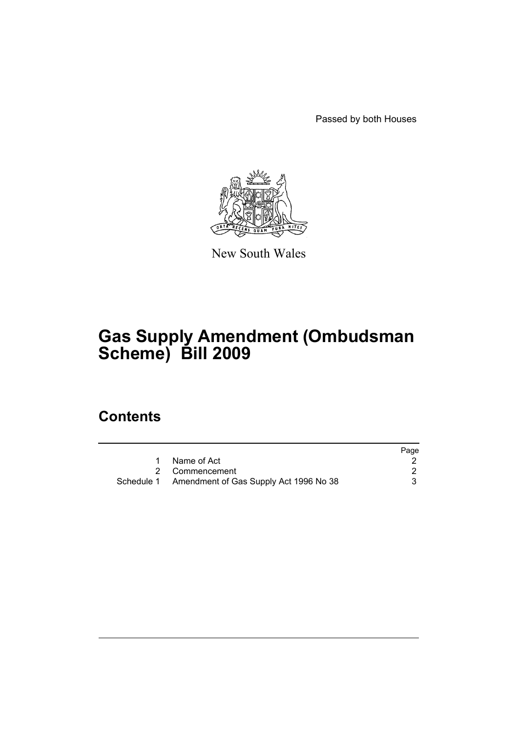Passed by both Houses



New South Wales

# **Gas Supply Amendment (Ombudsman Scheme) Bill 2009**

## **Contents**

|                                                   | Page |
|---------------------------------------------------|------|
| Name of Act                                       |      |
| 2 Commencement                                    |      |
| Schedule 1 Amendment of Gas Supply Act 1996 No 38 |      |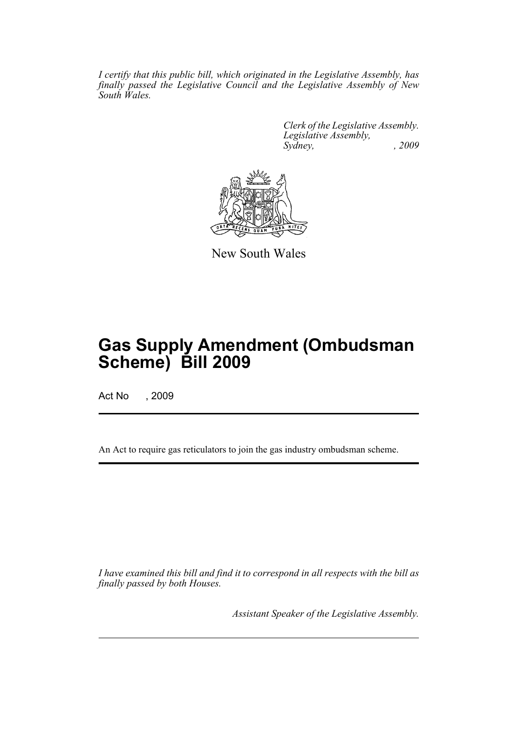*I certify that this public bill, which originated in the Legislative Assembly, has finally passed the Legislative Council and the Legislative Assembly of New South Wales.*

> *Clerk of the Legislative Assembly. Legislative Assembly, Sydney, , 2009*



New South Wales

## **Gas Supply Amendment (Ombudsman Scheme) Bill 2009**

Act No , 2009

An Act to require gas reticulators to join the gas industry ombudsman scheme.

*I have examined this bill and find it to correspond in all respects with the bill as finally passed by both Houses.*

*Assistant Speaker of the Legislative Assembly.*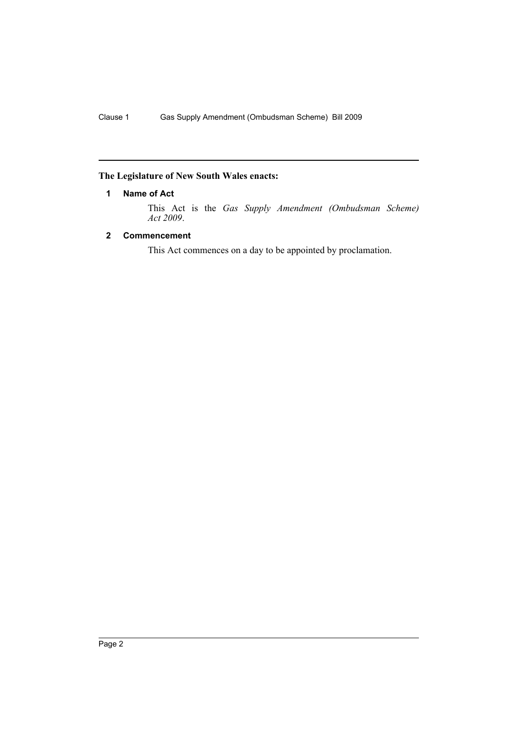## <span id="page-2-0"></span>**The Legislature of New South Wales enacts:**

### **1 Name of Act**

This Act is the *Gas Supply Amendment (Ombudsman Scheme) Act 2009*.

### <span id="page-2-1"></span>**2 Commencement**

This Act commences on a day to be appointed by proclamation.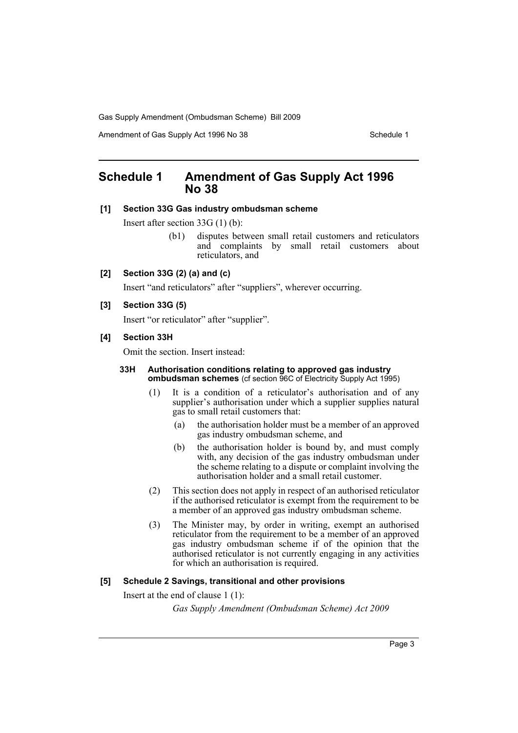Gas Supply Amendment (Ombudsman Scheme) Bill 2009

Amendment of Gas Supply Act 1996 No 38 Schedule 1

## <span id="page-3-0"></span>**Schedule 1 Amendment of Gas Supply Act 1996 No 38**

#### **[1] Section 33G Gas industry ombudsman scheme**

Insert after section 33G (1) (b):

(b1) disputes between small retail customers and reticulators and complaints by small retail customers about reticulators, and

#### **[2] Section 33G (2) (a) and (c)**

Insert "and reticulators" after "suppliers", wherever occurring.

#### **[3] Section 33G (5)**

Insert "or reticulator" after "supplier".

#### **[4] Section 33H**

Omit the section. Insert instead:

#### **33H Authorisation conditions relating to approved gas industry ombudsman schemes** (cf section 96C of Electricity Supply Act 1995)

- (1) It is a condition of a reticulator's authorisation and of any supplier's authorisation under which a supplier supplies natural gas to small retail customers that:
	- (a) the authorisation holder must be a member of an approved gas industry ombudsman scheme, and
	- (b) the authorisation holder is bound by, and must comply with, any decision of the gas industry ombudsman under the scheme relating to a dispute or complaint involving the authorisation holder and a small retail customer.
- (2) This section does not apply in respect of an authorised reticulator if the authorised reticulator is exempt from the requirement to be a member of an approved gas industry ombudsman scheme.
- (3) The Minister may, by order in writing, exempt an authorised reticulator from the requirement to be a member of an approved gas industry ombudsman scheme if of the opinion that the authorised reticulator is not currently engaging in any activities for which an authorisation is required.

#### **[5] Schedule 2 Savings, transitional and other provisions**

Insert at the end of clause 1 (1):

*Gas Supply Amendment (Ombudsman Scheme) Act 2009*